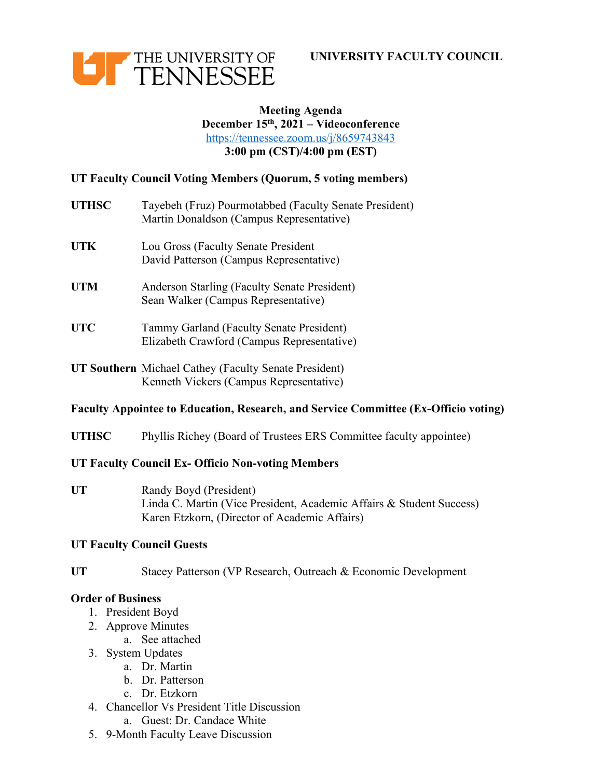



### **Meeting Agenda December 15th, 2021 – Videoconference** https://tennessee.zoom.us/j/8659743843 **3:00 pm (CST)/4:00 pm (EST)**

# **UT Faculty Council Voting Members (Quorum, 5 voting members)**

- **UTHSC** Tayebeh (Fruz) Pourmotabbed (Faculty Senate President) Martin Donaldson (Campus Representative)
- **UTK** Lou Gross (Faculty Senate President David Patterson (Campus Representative)
- **UTM** Anderson Starling (Faculty Senate President) Sean Walker (Campus Representative)
- **UTC** Tammy Garland (Faculty Senate President) Elizabeth Crawford (Campus Representative)
- **UT Southern** Michael Cathey (Faculty Senate President) Kenneth Vickers (Campus Representative)

# **Faculty Appointee to Education, Research, and Service Committee (Ex-Officio voting)**

**UTHSC** Phyllis Richey (Board of Trustees ERS Committee faculty appointee)

### **UT Faculty Council Ex- Officio Non-voting Members**

**UT** Randy Boyd (President) Linda C. Martin (Vice President, Academic Affairs & Student Success) Karen Etzkorn, (Director of Academic Affairs)

### **UT Faculty Council Guests**

UT Stacey Patterson (VP Research, Outreach & Economic Development

### **Order of Business**

- 1. President Boyd
- 2. Approve Minutes
	- a. See attached
- 3. System Updates
	- a. Dr. Martin
	- b. Dr. Patterson
	- c. Dr. Etzkorn
- 4. Chancellor Vs President Title Discussion
	- a. Guest: Dr. Candace White
- 5. 9-Month Faculty Leave Discussion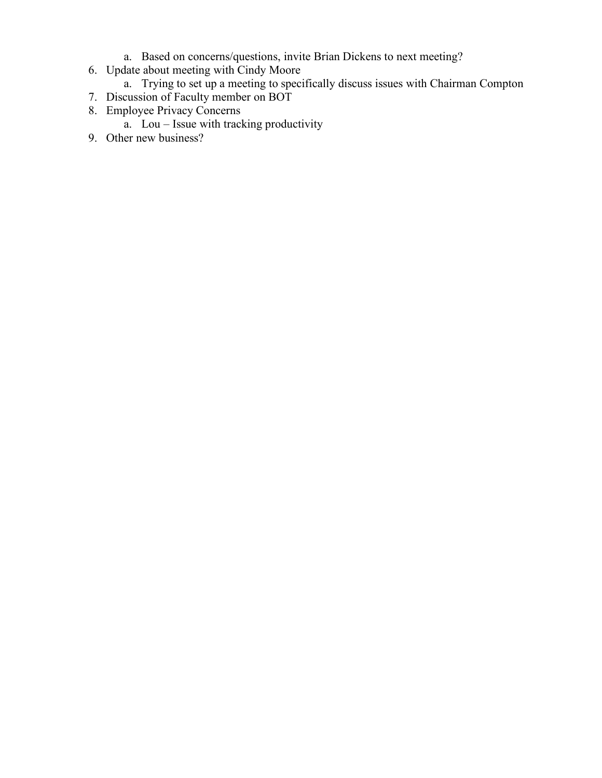- a. Based on concerns/questions, invite Brian Dickens to next meeting?
- 6. Update about meeting with Cindy Moore
	- a. Trying to set up a meeting to specifically discuss issues with Chairman Compton
- 7. Discussion of Faculty member on BOT
- 8. Employee Privacy Concerns
	- a. Lou Issue with tracking productivity
- 9. Other new business?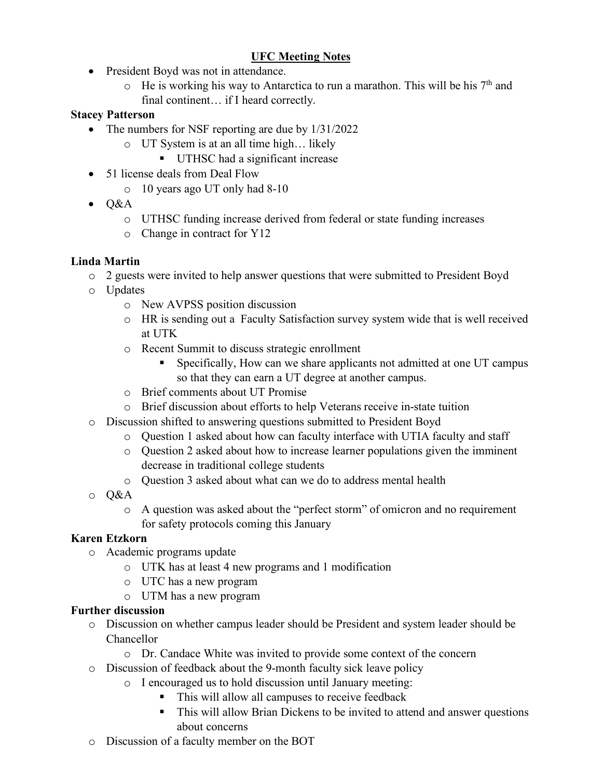# **UFC Meeting Notes**

- President Boyd was not in attendance.
	- $\circ$  He is working his way to Antarctica to run a marathon. This will be his 7<sup>th</sup> and final continent... if I heard correctly.

## **Stacey Patterson**

- The numbers for NSF reporting are due by  $1/31/2022$ 
	- o UT System is at an all time high… likely
		- UTHSC had a significant increase
- 51 license deals from Deal Flow
	- o 10 years ago UT only had 8-10
- $\bullet$  Q&A
	- o UTHSC funding increase derived from federal or state funding increases
	- o Change in contract for Y12

# **Linda Martin**

- o 2 guests were invited to help answer questions that were submitted to President Boyd
- o Updates
	- o New AVPSS position discussion
	- o HR is sending out a Faculty Satisfaction survey system wide that is well received at UTK
	- o Recent Summit to discuss strategic enrollment
		- § Specifically, How can we share applicants not admitted at one UT campus so that they can earn a UT degree at another campus.
	- o Brief comments about UT Promise
	- o Brief discussion about efforts to help Veterans receive in-state tuition
- o Discussion shifted to answering questions submitted to President Boyd
	- o Question 1 asked about how can faculty interface with UTIA faculty and staff
	- $\circ$  Question 2 asked about how to increase learner populations given the imminent decrease in traditional college students
	- o Question 3 asked about what can we do to address mental health
- o Q&A
	- o A question was asked about the "perfect storm" of omicron and no requirement for safety protocols coming this January

# **Karen Etzkorn**

- o Academic programs update
	- o UTK has at least 4 new programs and 1 modification
	- o UTC has a new program
		- o UTM has a new program

## **Further discussion**

- o Discussion on whether campus leader should be President and system leader should be Chancellor
	- o Dr. Candace White was invited to provide some context of the concern
- o Discussion of feedback about the 9-month faculty sick leave policy
	- o I encouraged us to hold discussion until January meeting:
		- This will allow all campuses to receive feedback
		- This will allow Brian Dickens to be invited to attend and answer questions about concerns
- o Discussion of a faculty member on the BOT